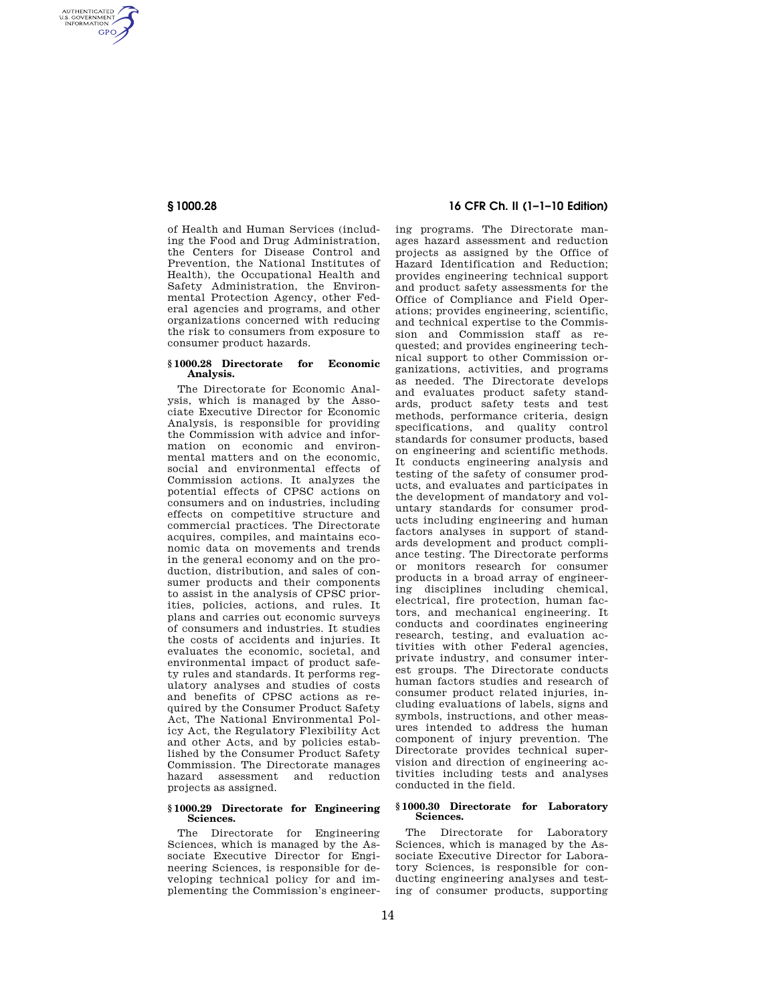AUTHENTICATED<br>U.S. GOVERNMENT<br>INFORMATION **GPO** 

> of Health and Human Services (including the Food and Drug Administration, the Centers for Disease Control and Prevention, the National Institutes of Health), the Occupational Health and Safety Administration, the Environmental Protection Agency, other Federal agencies and programs, and other organizations concerned with reducing the risk to consumers from exposure to consumer product hazards.

### **§ 1000.28 Directorate for Economic Analysis.**

The Directorate for Economic Analysis, which is managed by the Associate Executive Director for Economic Analysis, is responsible for providing the Commission with advice and information on economic and environmental matters and on the economic, social and environmental effects of Commission actions. It analyzes the potential effects of CPSC actions on consumers and on industries, including effects on competitive structure and commercial practices. The Directorate acquires, compiles, and maintains economic data on movements and trends in the general economy and on the production, distribution, and sales of consumer products and their components to assist in the analysis of CPSC priorities, policies, actions, and rules. It plans and carries out economic surveys of consumers and industries. It studies the costs of accidents and injuries. It evaluates the economic, societal, and environmental impact of product safety rules and standards. It performs regulatory analyses and studies of costs and benefits of CPSC actions as required by the Consumer Product Safety Act, The National Environmental Policy Act, the Regulatory Flexibility Act and other Acts, and by policies established by the Consumer Product Safety Commission. The Directorate manages hazard assessment projects as assigned.

#### **§ 1000.29 Directorate for Engineering Sciences.**

The Directorate for Engineering Sciences, which is managed by the Associate Executive Director for Engineering Sciences, is responsible for developing technical policy for and implementing the Commission's engineer-

# **§ 1000.28 16 CFR Ch. II (1–1–10 Edition)**

ing programs. The Directorate manages hazard assessment and reduction projects as assigned by the Office of Hazard Identification and Reduction; provides engineering technical support and product safety assessments for the Office of Compliance and Field Operations; provides engineering, scientific, and technical expertise to the Commission and Commission staff as requested; and provides engineering technical support to other Commission organizations, activities, and programs as needed. The Directorate develops and evaluates product safety standards, product safety tests and test methods, performance criteria, design specifications, and quality control standards for consumer products, based on engineering and scientific methods. It conducts engineering analysis and testing of the safety of consumer products, and evaluates and participates in the development of mandatory and voluntary standards for consumer products including engineering and human factors analyses in support of standards development and product compliance testing. The Directorate performs or monitors research for consumer products in a broad array of engineering disciplines including chemical, electrical, fire protection, human factors, and mechanical engineering. It conducts and coordinates engineering research, testing, and evaluation activities with other Federal agencies, private industry, and consumer interest groups. The Directorate conducts human factors studies and research of consumer product related injuries, including evaluations of labels, signs and symbols, instructions, and other measures intended to address the human component of injury prevention. The Directorate provides technical supervision and direction of engineering activities including tests and analyses conducted in the field.

### **§ 1000.30 Directorate for Laboratory Sciences.**

The Directorate for Laboratory Sciences, which is managed by the Associate Executive Director for Laboratory Sciences, is responsible for conducting engineering analyses and testing of consumer products, supporting